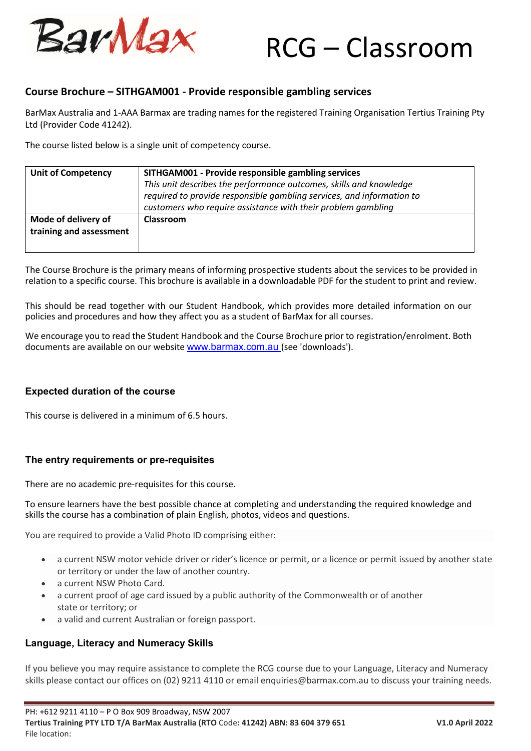

# RCG – Classroom

## **Course Brochure – SITHGAM001 - Provide responsible gambling services**

BarMax Australia and 1-AAA Barmax are trading names for the registered Training Organisation Tertius Training Pty Ltd (Provider Code 41242).

The course listed below is a single unit of competency course.

| <b>Unit of Competency</b>                      | SITHGAM001 - Provide responsible gambling services<br>This unit describes the performance outcomes, skills and knowledge<br>required to provide responsible gambling services, and information to<br>customers who require assistance with their problem gambling |
|------------------------------------------------|-------------------------------------------------------------------------------------------------------------------------------------------------------------------------------------------------------------------------------------------------------------------|
| Mode of delivery of<br>training and assessment | Classroom                                                                                                                                                                                                                                                         |

The Course Brochure is the primary means of informing prospective students about the services to be provided in relation to a specific course. This brochure is available in a downloadable PDF for the student to print and review.

This should be read together with our Student Handbook, which provides more detailed information on our policies and procedures and how they affect you as a student of BarMax for all courses.

We encourage you to read the Student Handbook and the Course Brochure prior to registration/enrolment. Both documents are available on our website www.barmax.com.au (see 'downloads').

## **Expected duration of the course**

This course is delivered in a minimum of 6.5 hours.

## **The entry requirements or pre-requisites**

There are no academic pre-requisites for this course.

To ensure learners have the best possible chance at completing and understanding the required knowledge and skills the course has a combination of plain English, photos, videos and questions.

You are required to provide a Valid Photo ID comprising either:

- a current NSW motor vehicle driver or rider's licence or permit, or a licence or permit issued by another state or territory or under the law of another country.
- a current NSW Photo Card.
- a current proof of age card issued by a public authority of the Commonwealth or of another state or territory; or
- a valid and current Australian or foreign passport.

## **Language, Literacy and Numeracy Skills**

If you believe you may require assistance to complete the RCG course due to your Language, Literacy and Numeracy skills please contact our offices on (02) 9211 4110 or email enquiries@barmax.com.au to discuss your training needs.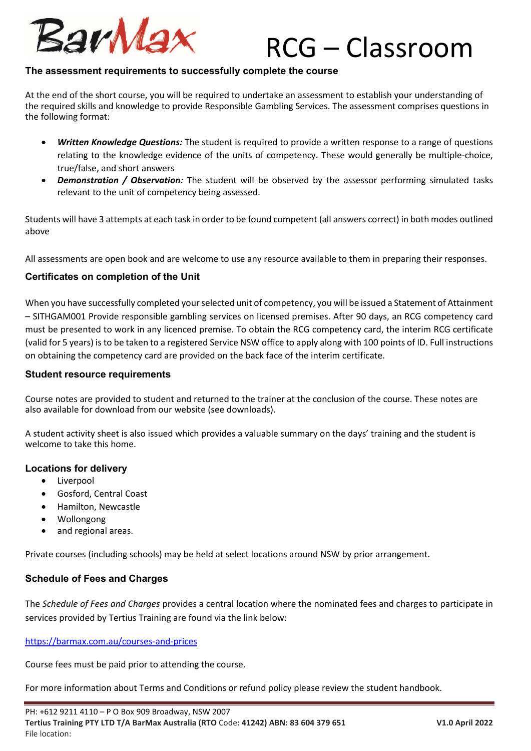

## RCG – Classroom

## **The assessment requirements to successfully complete the course**

At the end of the short course, you will be required to undertake an assessment to establish your understanding of the required skills and knowledge to provide Responsible Gambling Services. The assessment comprises questions in the following format:

- *Written Knowledge Questions:* The student is required to provide a written response to a range of questions relating to the knowledge evidence of the units of competency. These would generally be multiple-choice, true/false, and short answers
- **Demonstration** / Observation: The student will be observed by the assessor performing simulated tasks relevant to the unit of competency being assessed.

Students will have 3 attempts at each task in order to be found competent (all answers correct) in both modes outlined above

All assessments are open book and are welcome to use any resource available to them in preparing their responses.

## **Certificates on completion of the Unit**

When you have successfully completed your selected unit of competency, you will be issued a Statement of Attainment – SITHGAM001 Provide responsible gambling services on licensed premises. After 90 days, an RCG competency card must be presented to work in any licenced premise. To obtain the RCG competency card, the interim RCG certificate (valid for 5 years) is to be taken to a registered Service NSW office to apply along with 100 points of ID. Full instructions on obtaining the competency card are provided on the back face of the interim certificate.

## **Student resource requirements**

Course notes are provided to student and returned to the trainer at the conclusion of the course. These notes are also available for download from our website (see downloads).

A student activity sheet is also issued which provides a valuable summary on the days' training and the student is welcome to take this home.

## **Locations for delivery**

- Liverpool
- Gosford, Central Coast
- Hamilton, Newcastle
- Wollongong
- and regional areas.

Private courses (including schools) may be held at select locations around NSW by prior arrangement.

## **Schedule of Fees and Charges**

The *Schedule of Fees and Charges* provides a central location where the nominated fees and charges to participate in services provided by Tertius Training are found via the link below:

https://barmax.com.au/courses-and-prices

Course fees must be paid prior to attending the course.

For more information about Terms and Conditions or refund policy please review the student handbook.